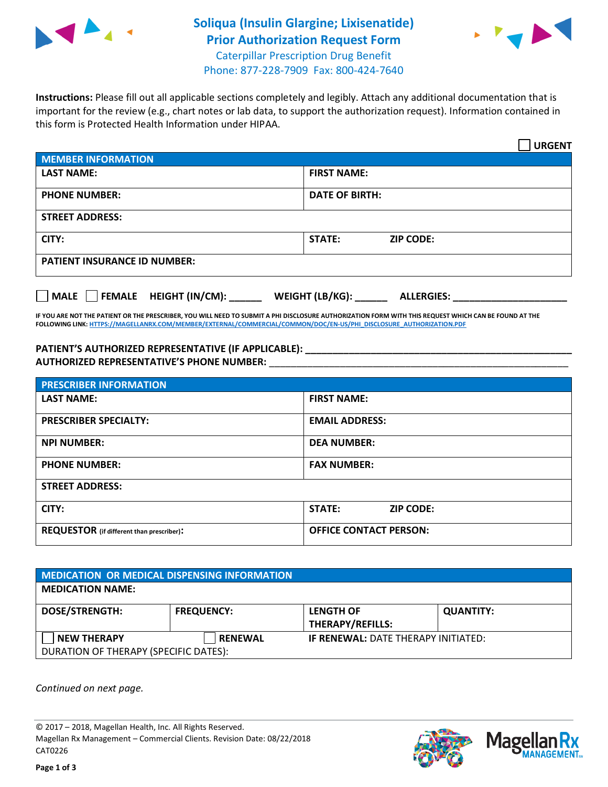

## **Soliqua (Insulin Glargine; Lixisenatide) Prior Authorization Request Form** Caterpillar Prescription Drug Benefit



Phone: 877-228-7909 Fax: 800-424-7640

**Instructions:** Please fill out all applicable sections completely and legibly. Attach any additional documentation that is important for the review (e.g., chart notes or lab data, to support the authorization request). Information contained in this form is Protected Health Information under HIPAA.

|                                     | <b>URGENT</b>                        |  |  |
|-------------------------------------|--------------------------------------|--|--|
| <b>MEMBER INFORMATION</b>           |                                      |  |  |
| <b>LAST NAME:</b>                   | <b>FIRST NAME:</b>                   |  |  |
| <b>PHONE NUMBER:</b>                | <b>DATE OF BIRTH:</b>                |  |  |
| <b>STREET ADDRESS:</b>              |                                      |  |  |
| CITY:                               | <b>ZIP CODE:</b><br>STATE:           |  |  |
| <b>PATIENT INSURANCE ID NUMBER:</b> |                                      |  |  |
| MALE FEMALE HEIGHT (IN/CM):         | WEIGHT (LB/KG):<br><b>ALLERGIES:</b> |  |  |

**IF YOU ARE NOT THE PATIENT OR THE PRESCRIBER, YOU WILL NEED TO SUBMIT A PHI DISCLOSURE AUTHORIZATION FORM WITH THIS REQUEST WHICH CAN BE FOUND AT THE FOLLOWING LINK[: HTTPS://MAGELLANRX.COM/MEMBER/EXTERNAL/COMMERCIAL/COMMON/DOC/EN-US/PHI\\_DISCLOSURE\\_AUTHORIZATION.PDF](https://magellanrx.com/member/external/commercial/common/doc/en-us/PHI_Disclosure_Authorization.pdf)**

**PATIENT'S AUTHORIZED REPRESENTATIVE (IF APPLICABLE): \_\_\_\_\_\_\_\_\_\_\_\_\_\_\_\_\_\_\_\_\_\_\_\_\_\_\_\_\_\_\_\_\_\_\_\_\_\_\_\_\_\_\_\_\_\_\_\_\_ AUTHORIZED REPRESENTATIVE'S PHONE NUMBER:** \_\_\_\_\_\_\_\_\_\_\_\_\_\_\_\_\_\_\_\_\_\_\_\_\_\_\_\_\_\_\_\_\_\_\_\_\_\_\_\_\_\_\_\_\_\_\_\_\_\_\_\_\_\_\_

| <b>PRESCRIBER INFORMATION</b>             |                               |  |  |  |
|-------------------------------------------|-------------------------------|--|--|--|
| <b>LAST NAME:</b>                         | <b>FIRST NAME:</b>            |  |  |  |
| <b>PRESCRIBER SPECIALTY:</b>              | <b>EMAIL ADDRESS:</b>         |  |  |  |
| <b>NPI NUMBER:</b>                        | <b>DEA NUMBER:</b>            |  |  |  |
| <b>PHONE NUMBER:</b>                      | <b>FAX NUMBER:</b>            |  |  |  |
| <b>STREET ADDRESS:</b>                    |                               |  |  |  |
| CITY:                                     | STATE:<br><b>ZIP CODE:</b>    |  |  |  |
| REQUESTOR (if different than prescriber): | <b>OFFICE CONTACT PERSON:</b> |  |  |  |

| <b>MEDICATION OR MEDICAL DISPENSING INFORMATION</b>         |                   |                                             |                  |  |
|-------------------------------------------------------------|-------------------|---------------------------------------------|------------------|--|
| <b>MEDICATION NAME:</b>                                     |                   |                                             |                  |  |
| <b>DOSE/STRENGTH:</b>                                       | <b>FREQUENCY:</b> | <b>LENGTH OF</b><br><b>THERAPY/REFILLS:</b> | <b>QUANTITY:</b> |  |
| <b>NEW THERAPY</b><br>DURATION OF THERAPY (SPECIFIC DATES): | <b>RENEWAL</b>    | <b>IF RENEWAL: DATE THERAPY INITIATED:</b>  |                  |  |

*Continued on next page.*

© 2017 – 2018, Magellan Health, Inc. All Rights Reserved. Magellan Rx Management – Commercial Clients. Revision Date: 08/22/2018 CAT0226



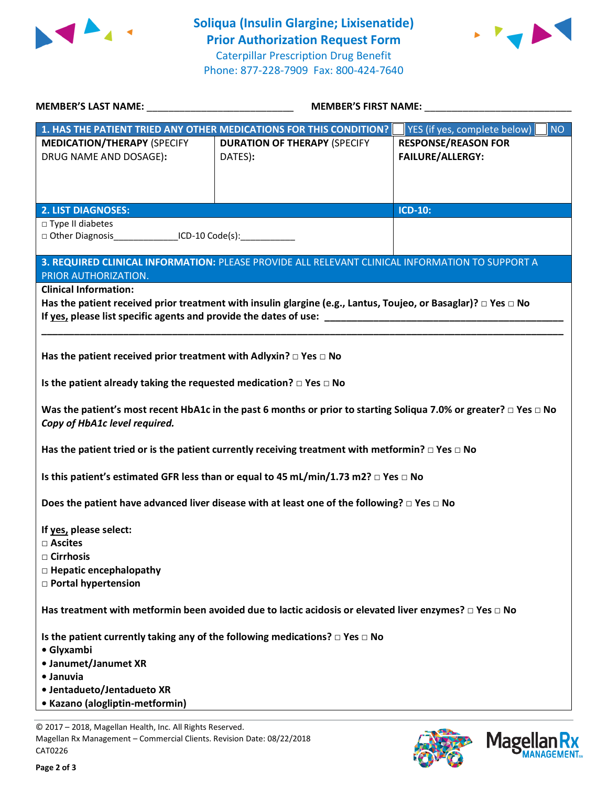



| MEMBER'S LAST NAME: NAME:                                                                                                                      | <b>MEMBER'S FIRST NAME:</b>                                                                                                                                                                                                                                                                                                                                |                                                       |  |
|------------------------------------------------------------------------------------------------------------------------------------------------|------------------------------------------------------------------------------------------------------------------------------------------------------------------------------------------------------------------------------------------------------------------------------------------------------------------------------------------------------------|-------------------------------------------------------|--|
|                                                                                                                                                | 1. HAS THE PATIENT TRIED ANY OTHER MEDICATIONS FOR THIS CONDITION?                                                                                                                                                                                                                                                                                         | YES (if yes, complete below)<br><b>NO</b>             |  |
| <b>MEDICATION/THERAPY (SPECIFY</b><br>DRUG NAME AND DOSAGE):                                                                                   | <b>DURATION OF THERAPY (SPECIFY</b><br>DATES):                                                                                                                                                                                                                                                                                                             | <b>RESPONSE/REASON FOR</b><br><b>FAILURE/ALLERGY:</b> |  |
| <b>2. LIST DIAGNOSES:</b>                                                                                                                      |                                                                                                                                                                                                                                                                                                                                                            | <b>ICD-10:</b>                                        |  |
| □ Type II diabetes<br>□ Other Diagnosis ____________________ICD-10 Code(s): _________________________                                          |                                                                                                                                                                                                                                                                                                                                                            |                                                       |  |
| PRIOR AUTHORIZATION.                                                                                                                           | 3. REQUIRED CLINICAL INFORMATION: PLEASE PROVIDE ALL RELEVANT CLINICAL INFORMATION TO SUPPORT A                                                                                                                                                                                                                                                            |                                                       |  |
| <b>Clinical Information:</b>                                                                                                                   | Has the patient received prior treatment with insulin glargine (e.g., Lantus, Toujeo, or Basaglar)? $\Box$ Yes $\Box$ No<br>If yes, please list specific agents and provide the dates of use: North and the state of the state of the state of the state of the state of the state of the state of the state of the state of the state of the state of the |                                                       |  |
| Has the patient received prior treatment with Adlyxin? $\Box$ Yes $\Box$ No                                                                    |                                                                                                                                                                                                                                                                                                                                                            |                                                       |  |
| Is the patient already taking the requested medication? $\Box$ Yes $\Box$ No                                                                   |                                                                                                                                                                                                                                                                                                                                                            |                                                       |  |
| Copy of HbA1c level required.                                                                                                                  | Was the patient's most recent HbA1c in the past 6 months or prior to starting Soliqua 7.0% or greater? $\Box$ Yes $\Box$ No                                                                                                                                                                                                                                |                                                       |  |
|                                                                                                                                                | Has the patient tried or is the patient currently receiving treatment with metformin? $\Box$ Yes $\Box$ No                                                                                                                                                                                                                                                 |                                                       |  |
|                                                                                                                                                | Is this patient's estimated GFR less than or equal to 45 mL/min/1.73 m2? $\Box$ Yes $\Box$ No                                                                                                                                                                                                                                                              |                                                       |  |
|                                                                                                                                                | Does the patient have advanced liver disease with at least one of the following? $\Box$ Yes $\Box$ No                                                                                                                                                                                                                                                      |                                                       |  |
| If yes, please select:<br>$\Box$ Ascites<br>$\Box$ Cirrhosis<br>$\Box$ Hepatic encephalopathy<br>□ Portal hypertension                         |                                                                                                                                                                                                                                                                                                                                                            |                                                       |  |
|                                                                                                                                                | Has treatment with metformin been avoided due to lactic acidosis or elevated liver enzymes? $\Box$ Yes $\Box$ No                                                                                                                                                                                                                                           |                                                       |  |
| Is the patient currently taking any of the following medications? $\Box$ Yes $\Box$ No<br>• Glyxambi<br>• Janumet/Janumet XR<br>• Januvia      |                                                                                                                                                                                                                                                                                                                                                            |                                                       |  |
| • Jentadueto/Jentadueto XR<br>• Kazano (alogliptin-metformin)                                                                                  |                                                                                                                                                                                                                                                                                                                                                            |                                                       |  |
| © 2017 - 2018, Magellan Health, Inc. All Rights Reserved.<br>Magellan Rx Management - Commercial Clients. Revision Date: 08/22/2018<br>CAT0226 |                                                                                                                                                                                                                                                                                                                                                            | <b>Magellar</b>                                       |  |